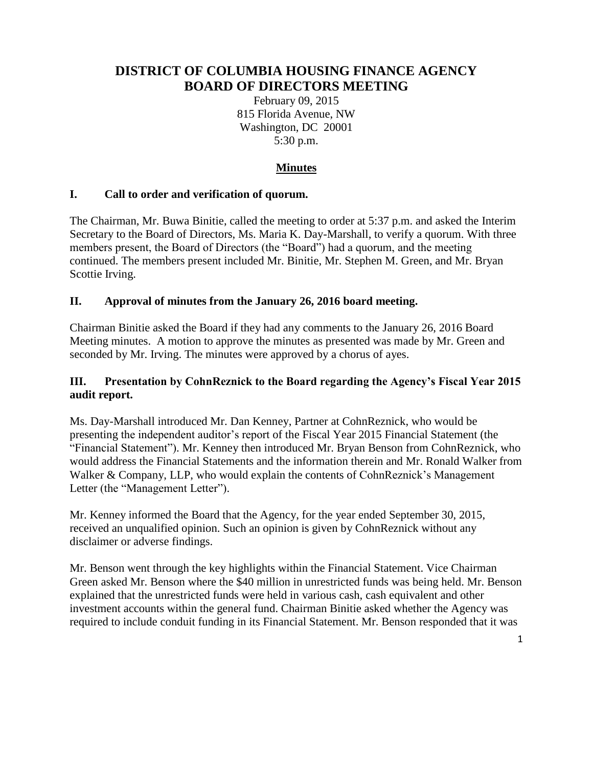# **DISTRICT OF COLUMBIA HOUSING FINANCE AGENCY BOARD OF DIRECTORS MEETING**

February 09, 2015 815 Florida Avenue, NW Washington, DC 20001 5:30 p.m.

# **Minutes**

### **I. Call to order and verification of quorum.**

The Chairman, Mr. Buwa Binitie, called the meeting to order at 5:37 p.m. and asked the Interim Secretary to the Board of Directors, Ms. Maria K. Day-Marshall, to verify a quorum. With three members present, the Board of Directors (the "Board") had a quorum, and the meeting continued. The members present included Mr. Binitie, Mr. Stephen M. Green, and Mr. Bryan Scottie Irving.

#### **II. Approval of minutes from the January 26, 2016 board meeting.**

Chairman Binitie asked the Board if they had any comments to the January 26, 2016 Board Meeting minutes. A motion to approve the minutes as presented was made by Mr. Green and seconded by Mr. Irving. The minutes were approved by a chorus of ayes.

### **III. Presentation by CohnReznick to the Board regarding the Agency's Fiscal Year 2015 audit report.**

Ms. Day-Marshall introduced Mr. Dan Kenney, Partner at CohnReznick, who would be presenting the independent auditor's report of the Fiscal Year 2015 Financial Statement (the "Financial Statement"). Mr. Kenney then introduced Mr. Bryan Benson from CohnReznick, who would address the Financial Statements and the information therein and Mr. Ronald Walker from Walker & Company, LLP, who would explain the contents of CohnReznick's Management Letter (the "Management Letter").

Mr. Kenney informed the Board that the Agency, for the year ended September 30, 2015, received an unqualified opinion. Such an opinion is given by CohnReznick without any disclaimer or adverse findings.

Mr. Benson went through the key highlights within the Financial Statement. Vice Chairman Green asked Mr. Benson where the \$40 million in unrestricted funds was being held. Mr. Benson explained that the unrestricted funds were held in various cash, cash equivalent and other investment accounts within the general fund. Chairman Binitie asked whether the Agency was required to include conduit funding in its Financial Statement. Mr. Benson responded that it was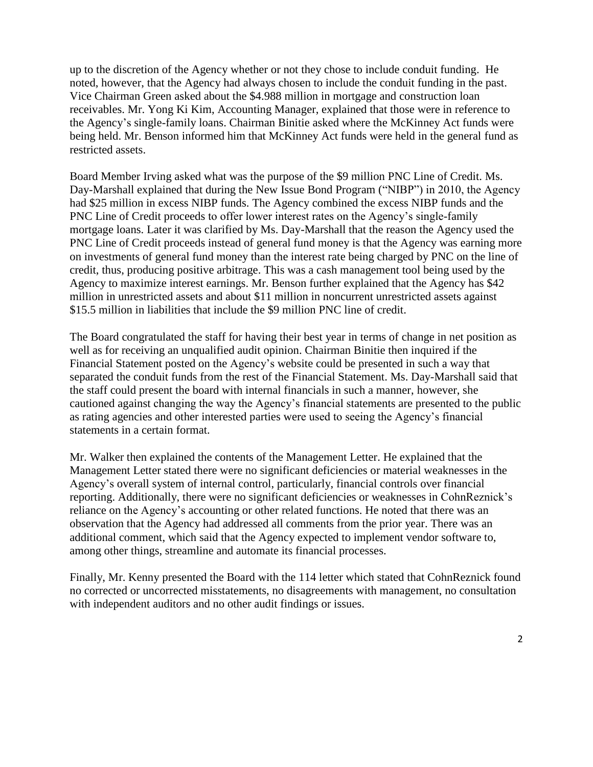up to the discretion of the Agency whether or not they chose to include conduit funding. He noted, however, that the Agency had always chosen to include the conduit funding in the past. Vice Chairman Green asked about the \$4.988 million in mortgage and construction loan receivables. Mr. Yong Ki Kim, Accounting Manager, explained that those were in reference to the Agency's single-family loans. Chairman Binitie asked where the McKinney Act funds were being held. Mr. Benson informed him that McKinney Act funds were held in the general fund as restricted assets.

Board Member Irving asked what was the purpose of the \$9 million PNC Line of Credit. Ms. Day-Marshall explained that during the New Issue Bond Program ("NIBP") in 2010, the Agency had \$25 million in excess NIBP funds. The Agency combined the excess NIBP funds and the PNC Line of Credit proceeds to offer lower interest rates on the Agency's single-family mortgage loans. Later it was clarified by Ms. Day-Marshall that the reason the Agency used the PNC Line of Credit proceeds instead of general fund money is that the Agency was earning more on investments of general fund money than the interest rate being charged by PNC on the line of credit, thus, producing positive arbitrage. This was a cash management tool being used by the Agency to maximize interest earnings. Mr. Benson further explained that the Agency has \$42 million in unrestricted assets and about \$11 million in noncurrent unrestricted assets against \$15.5 million in liabilities that include the \$9 million PNC line of credit.

The Board congratulated the staff for having their best year in terms of change in net position as well as for receiving an unqualified audit opinion. Chairman Binitie then inquired if the Financial Statement posted on the Agency's website could be presented in such a way that separated the conduit funds from the rest of the Financial Statement. Ms. Day-Marshall said that the staff could present the board with internal financials in such a manner, however, she cautioned against changing the way the Agency's financial statements are presented to the public as rating agencies and other interested parties were used to seeing the Agency's financial statements in a certain format.

Mr. Walker then explained the contents of the Management Letter. He explained that the Management Letter stated there were no significant deficiencies or material weaknesses in the Agency's overall system of internal control, particularly, financial controls over financial reporting. Additionally, there were no significant deficiencies or weaknesses in CohnReznick's reliance on the Agency's accounting or other related functions. He noted that there was an observation that the Agency had addressed all comments from the prior year. There was an additional comment, which said that the Agency expected to implement vendor software to, among other things, streamline and automate its financial processes.

Finally, Mr. Kenny presented the Board with the 114 letter which stated that CohnReznick found no corrected or uncorrected misstatements, no disagreements with management, no consultation with independent auditors and no other audit findings or issues.